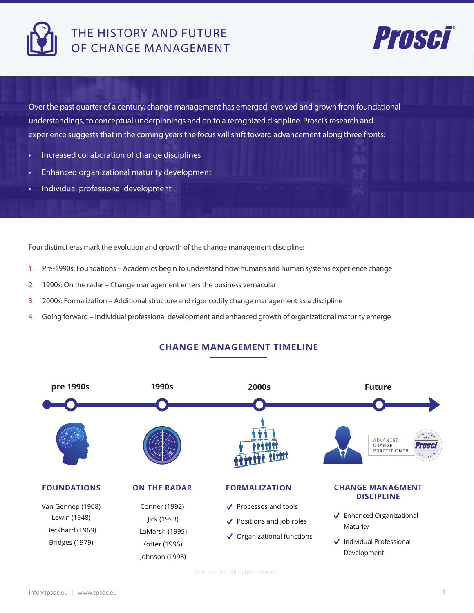

# THE HISTORY AND FUTURE OF CHANGE MANAGEMENT



Over the past quarter of a century, change management has emerged, evolved and grown from foundational understandings, to conceptual underpinnings and on to a recognized discipline. Prosci's research and experience suggests that in the coming years the focus will shift toward advancement along three fronts:

- Increased collaboration of change disciplines
- Enhanced organizational maturity development
- Individual professional development

Four distinct eras mark the evolution and growth of the change management discipline:

- 1. Pre-1990s: Foundations Academics begin to understand how humans and human systems experience change
- 2. 1990s: On the radar Change management enters the business vernacular
- 3. 2000s: Formalization Additional structure and rigor codify change management as a discipline
- 4. Going forward Individual professional development and enhanced growth of organizational maturity emerge

## **CHANGE MANAGEMENT TIMELINE**

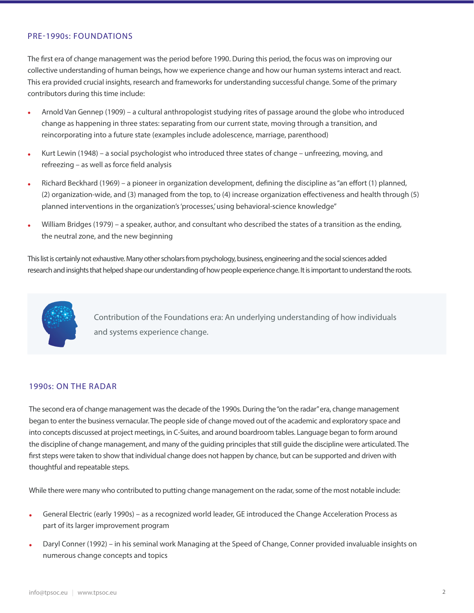### PRE-1990s: FOUNDATIONS

The first era of change management was the period before 1990. During this period, the focus was on improving our collective understanding of human beings, how we experience change and how our human systems interact and react. This era provided crucial insights, research and frameworks for understanding successful change. Some of the primary contributors during this time include:

- Arnold Van Gennep (1909) a cultural anthropologist studying rites of passage around the globe who introduced change as happening in three states: separating from our current state, moving through a transition, and reincorporating into a future state (examples include adolescence, marriage, parenthood)
- Kurt Lewin (1948) a social psychologist who introduced three states of change unfreezing, moving, and  $refreezing - as well as force field analysis$
- Richard Beckhard (1969) a pioneer in organization development, defining the discipline as "an effort (1) planned, (2) organization-wide, and (3) managed from the top, to (4) increase organization effectiveness and health through (5) planned interventions in the organization's 'processes' using behavioral-science knowledge"
- William Bridges (1979) a speaker, author, and consultant who described the states of a transition as the ending, the neutral zone, and the new beginning

This list is certainly not exhaustive. Many other scholars from psychology, business, engineering and the social sciences added research and insights that helped shape our understanding of how people experience change. It is important to understand the roots.



Contribution of the Foundations era: An underlying understanding of how individuals and systems experience change.

#### 1990s: ON THE RADAR

The second era of change management was the decade of the 1990s. During the "on the radar" era, change management began to enter the business vernacular. The people side of change moved out of the academic and exploratory space and into concepts discussed at project meetings, in C-Suites, and around boardroom tables. Language began to form around the discipline of change management, and many of the guiding principles that still guide the discipline were articulated. The first steps were taken to show that individual change does not happen by chance, but can be supported and driven with thoughtful and repeatable steps.

While there were many who contributed to putting change management on the radar, some of the most notable include:

- General Electric (early 1990s) as a recognized world leader, GE introduced the Change Acceleration Process as part of its larger improvement program
- Daryl Conner (1992) in his seminal work Managing at the Speed of Change, Conner provided invaluable insights on numerous change concepts and topics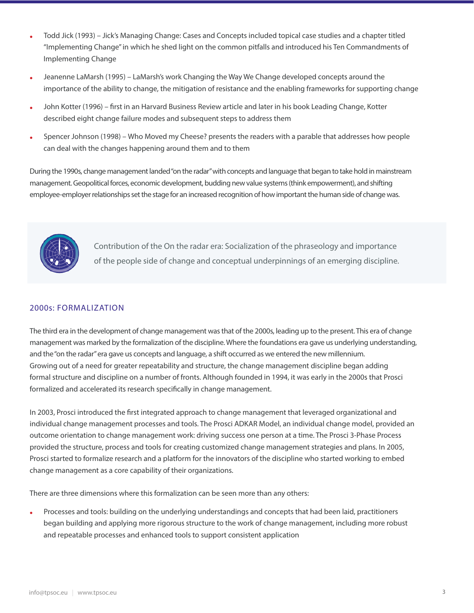- Todd Jick (1993) Jick's Managing Change: Cases and Concepts included topical case studies and a chapter titled "Implementing Change" in which he shed light on the common pitfalls and introduced his Ten Commandments of Implementing Change
- Jeanenne LaMarsh (1995) LaMarsh's work Changing the Way We Change developed concepts around the importance of the ability to change, the mitigation of resistance and the enabling frameworks for supporting change
- John Kotter (1996) first in an Harvard Business Review article and later in his book Leading Change, Kotter described eight change failure modes and subsequent steps to address them
- Spencer Johnson (1998) Who Moved my Cheese? presents the readers with a parable that addresses how people can deal with the changes happening around them and to them

During the 1990s, change management landed "on the radar" with concepts and language that began to take hold in mainstream management. Geopolitical forces, economic development, budding new value systems (think empowerment), and shifting employee-employer relationships set the stage for an increased recognition of how important the human side of change was.



Contribution of the On the radar era: Socialization of the phraseology and importance of the people side of change and conceptual underpinnings of an emerging discipline.

## 2000s: FORMALIZATION

The third era in the development of change management was that of the 2000s, leading up to the present. This era of change management was marked by the formalization of the discipline. Where the foundations era gave us underlying understanding, and the "on the radar" era gave us concepts and language, a shift occurred as we entered the new millennium. Growing out of a need for greater repeatability and structure, the change management discipline began adding formal structure and discipline on a number of fronts. Although founded in 1994, it was early in the 2000s that Prosci formalized and accelerated its research specifically in change management.

In 2003, Prosci introduced the first integrated approach to change management that leveraged organizational and individual change management processes and tools. The Prosci ADKAR Model, an individual change model, provided an outcome orientation to change management work: driving success one person at a time. The Prosci 3-Phase Process provided the structure, process and tools for creating customized change management strategies and plans. In 2005, Prosci started to formalize research and a platform for the innovators of the discipline who started working to embed change management as a core capability of their organizations.

There are three dimensions where this formalization can be seen more than any others:

Processes and tools: building on the underlying understandings and concepts that had been laid, practitioners began building and applying more rigorous structure to the work of change management, including more robust and repeatable processes and enhanced tools to support consistent application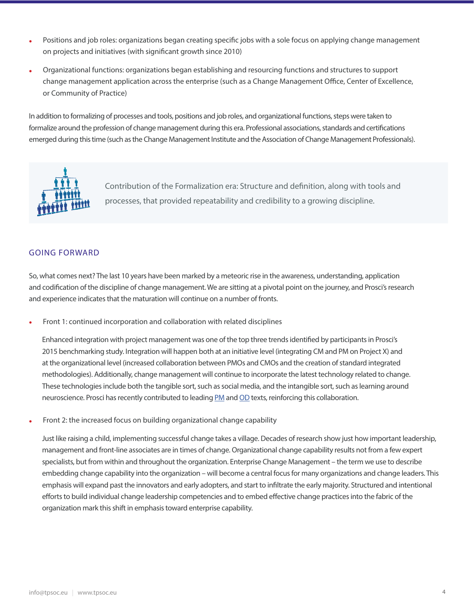- Positions and job roles: organizations began creating specific jobs with a sole focus on applying change management on projects and initiatives (with significant growth since 2010)
- Organizational functions: organizations began establishing and resourcing functions and structures to support change management application across the enterprise (such as a Change Management Office, Center of Excellence, or Community of Practice)

In addition to formalizing of processes and tools, positions and job roles, and organizational functions, steps were taken to formalize around the profession of change management during this era. Professional associations, standards and certifications emerged during this time (such as the Change Management Institute and the Association of Change Management Professionals).



Contribution of the Formalization era: Structure and definition, along with tools and processes, that provided repeatability and credibility to a growing discipline.

## **GOING FORWARD**

So, what comes next? The last 10 years have been marked by a meteoric rise in the awareness, understanding, application and codification of the discipline of change management. We are sitting at a pivotal point on the journey, and Prosci's research and experience indicates that the maturation will continue on a number of fronts.

Front 1: continued incorporation and collaboration with related disciplines

Enhanced integration with project management was one of the top three trends identified by participants in Prosci's 2015 benchmarking study. Integration will happen both at an initiative level (integrating CM and PM on Project X) and at the organizational level (increased collaboration between PMOs and CMOs and the creation of standard integrated methodologies). Additionally, change management will continue to incorporate the latest technology related to change. These technologies include both the tangible sort, such as social media, and the intangible sort, such as learning around neuroscience. Prosci has recently contributed to leading PM and OD texts, reinforcing this collaboration.

Front 2: the increased focus on building organizational change capability

Just like raising a child, implementing successful change takes a village. Decades of research show just how important leadership, management and front-line associates are in times of change. Organizational change capability results not from a few expert specialists, but from within and throughout the organization. Enterprise Change Management – the term we use to describe embedding change capability into the organization – will become a central focus for many organizations and change leaders. This emphasis will expand past the innovators and early adopters, and start to infiltrate the early majority. Structured and intentional efforts to build individual change leadership competencies and to embed effective change practices into the fabric of the organization mark this shift in emphasis toward enterprise capability.